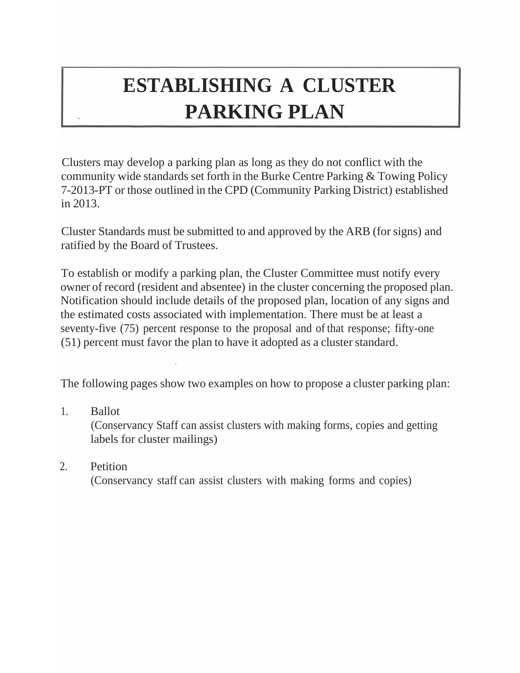# **ESTABLISHING A CLUSTER PARKING PLAN**

Clusters may develop a parking plan as long as they do not conflict with the community wide standards set forth in the Burke Centre Parking & Towing Policy 7-2013-PT or those outlined in the CPD (Community Parking District) established in 2013.

Cluster Standards must be submitted to and approved by the ARB (for signs) and ratified by the Board of Trustees.

To establish or modify a parking plan, the Cluster Committee must notify every owner of record (resident and absentee) in the cluster concerning the proposed plan. Notification should include details of the proposed plan, location of any signs and the estimated costs associated with implementation. There must be at least a seventy-five (75) percent response to the proposal and of that response; fifty-one (51) percent must favor the plan to have it adopted as a clusterstandard.

The following pages show two examples on how to propose a cluster parking plan:

- 1. Ballot (Conservancy Staff can assist clusters with making forms, copies and getting labels for cluster mailings)
- 2. Petition (Conservancy staff can assist clusters with making forms and copies)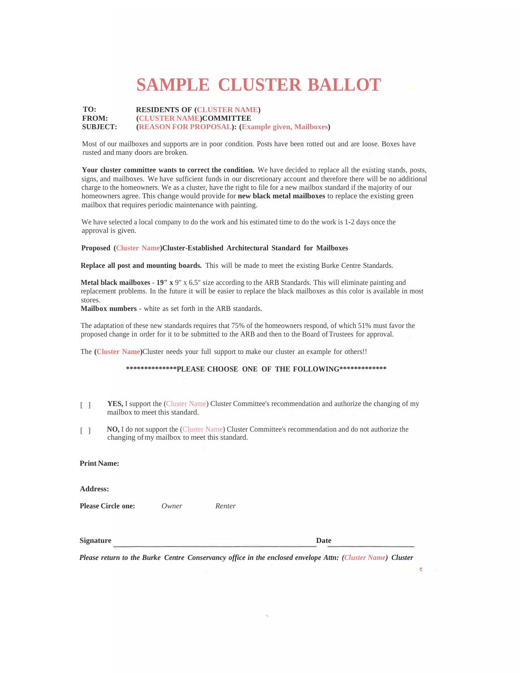## **SAMPLE CLUSTER BALLOT**

#### **TO: FROM: SUBJECT: RESIDENTS OF (CLUSTER NAME) (CLUSTER NAME)COMMITTEE (REASON FOR PROPOSAL): (Example given, Mailboxes)**

Most of our mailboxes and supports are in poor condition. Posts have been rotted out and are loose. Boxes have rusted and many doors are broken.

**Your cluster committee wants to correct the condition.** We have decided to replace all the existing stands, posts, signs, and mailboxes. We have sufficient funds in our discretionary account and therefore there will be no additional charge to the homeowners. We as a cluster, have the right to file for a new mailbox standard if the majority of our homeowners agree. This change would provide for **new black metal mailboxes** to replace the existing green mailbox that requires periodic maintenance with painting.

We have selected a local company to do the work and his estimated time to do the work is 1-2 days once the approval is given.

#### **Proposed (Cluster Name)Cluster-Established Architectural Standard for Mailboxes**

**Replace all post and mounting boards.** This will be made to meet the existing Burke Centre Standards.

**Metal black mailboxes** - **19" x** 9" x 6.5" size according to the ARB Standards. This will eliminate painting and replacement problems. In the future it will be easier to replace the black mailboxes as this color is available in most stores.

**Mailbox numbers** - white as set forth in the ARB standards.

The adaptation of these new standards requires that 75% of the homeowners respond, of which 51% must favor the proposed change in order for it to be submitted to the ARB and then to the Board ofTrustees for approval.

The **(Cluster Name)**Cluster needs your full support to make our cluster an example for others!!

#### **\*\*\*\*\*\*\*\*\*\*\*\*\*\*PLEASE CHOOSE ONE OF THE FOLLOWING\*\*\*\*\*\*\*\*\*\*\*\*\***

- [ ] **YES,** I support the (Cluster Name) Cluster Committee's recommendation and authorize the changing of my mailbox to meet this standard.
- [ ] **NO,** I do not support the (Cluster Name) Cluster Committee's recommendation and do not authorize the changing ofmy mailbox to meet this standard.

**Print Name:**

**Address:**

**Please Circle one:** *Owner Renter*

**Signature Date**

*Please return to the Burke Centre Conservancy office in the enclosed envelope Attn: (Cluster Name) Cluster*

 $\cdot$